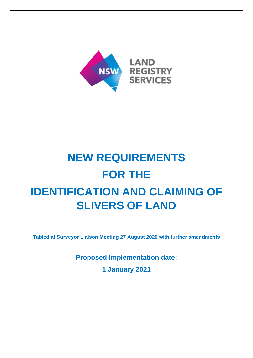

# **NEW REQUIREMENTS FOR THE IDENTIFICATION AND CLAIMING OF SLIVERS OF LAND**

**Tabled at Surveyor Liaison Meeting 27 August 2020 with further amendments**

**Proposed Implementation date: 1 January 2021**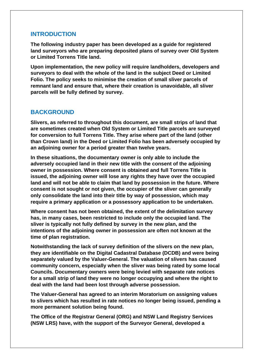## **INTRODUCTION**

**The following industry paper has been developed as a guide for registered land surveyors who are preparing deposited plans of survey over Old System or Limited Torrens Title land.** 

**Upon implementation, the new policy will require landholders, developers and surveyors to deal with the whole of the land in the subject Deed or Limited Folio. The policy seeks to minimise the creation of small sliver parcels of remnant land and ensure that, where their creation is unavoidable, all sliver parcels will be fully defined by survey.**

## **BACKGROUND**

**Slivers, as referred to throughout this document, are small strips of land that are sometimes created when Old System or Limited Title parcels are surveyed for conversion to full Torrens Title. They arise where part of the land (other than Crown land) in the Deed or Limited Folio has been adversely occupied by an adjoining owner for a period greater than twelve years.**

**In these situations, the documentary owner is only able to include the adversely occupied land in their new title with the consent of the adjoining owner in possession. Where consent is obtained and full Torrens Title is issued, the adjoining owner will lose any rights they have over the occupied land and will not be able to claim that land by possession in the future. Where consent is not sought or not given, the occupier of the sliver can generally only consolidate the land into their title by way of possession, which may require a primary application or a possessory application to be undertaken.**

**Where consent has not been obtained, the extent of the delimitation survey has, in many cases, been restricted to include only the occupied land. The sliver is typically not fully defined by survey in the new plan, and the intentions of the adjoining owner in possession are often not known at the time of plan registration.**

**Notwithstanding the lack of survey definition of the slivers on the new plan, they are identifiable on the Digital Cadastral Database (DCDB) and were being separately valued by the Valuer-General. The valuation of slivers has caused community concern, especially when the sliver was being rated by some local Councils. Documentary owners were being levied with separate rate notices for a small strip of land they were no longer occupying and where the right to deal with the land had been lost through adverse possession.**

**The Valuer-General has agreed to an interim Moratorium on assigning values to slivers which has resulted in rate notices no longer being issued, pending a more permanent solution being found.** 

**The Office of the Registrar General (ORG) and NSW Land Registry Services (NSW LRS) have, with the support of the Surveyor General, developed a**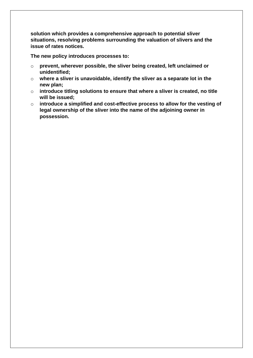**solution which provides a comprehensive approach to potential sliver situations, resolving problems surrounding the valuation of slivers and the issue of rates notices.** 

**The new policy introduces processes to:**

- o **prevent, wherever possible, the sliver being created, left unclaimed or unidentified;**
- o **where a sliver is unavoidable, identify the sliver as a separate lot in the new plan;**
- o **introduce titling solutions to ensure that where a sliver is created, no title will be issued;**
- o **introduce a simplified and cost-effective process to allow for the vesting of legal ownership of the sliver into the name of the adjoining owner in possession.**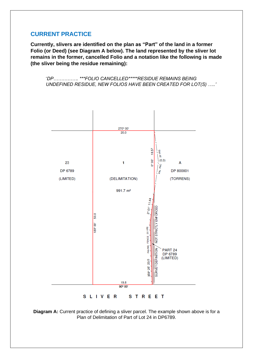# **CURRENT PRACTICE**

**Currently, slivers are identified on the plan as "Part" of the land in a former Folio (or Deed) (see Diagram A below). The land represented by the sliver lot remains in the former, cancelled Folio and a notation like the following is made (the sliver being the residue remaining):** 

'*DP……………. \*\*\*FOLIO CANCELLED\*\*\*\*\*RESIDUE REMAINS BEING UNDEFINED RESIDUE, NEW FOLIOS HAVE BEEN CREATED FOR LOT(S) …..'*



**Diagram A:** Current practice of defining a sliver parcel. The example shown above is for a Plan of Delimitation of Part of Lot 24 in DP6789.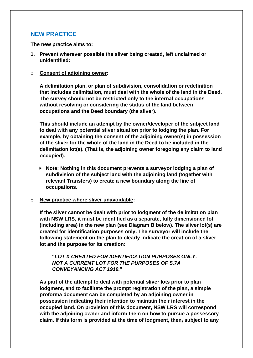# **NEW PRACTICE**

**The new practice aims to:**

**1. Prevent wherever possible the sliver being created, left unclaimed or unidentified:**

#### o **Consent of adjoining owner:**

**A delimitation plan, or plan of subdivision, consolidation or redefinition that includes delimitation, must deal with the whole of the land in the Deed. The survey should not be restricted only to the internal occupations without resolving or considering the status of the land between occupations and the Deed boundary (the sliver).**

**This should include an attempt by the owner/developer of the subject land to deal with any potential sliver situation prior to lodging the plan. For example, by obtaining the consent of the adjoining owner(s) in possession of the sliver for the whole of the land in the Deed to be included in the delimitation lot(s). (That is, the adjoining owner foregoing any claim to land occupied).**

➢ **Note: Nothing in this document prevents a surveyor lodging a plan of subdivision of the subject land with the adjoining land (together with relevant Transfers) to create a new boundary along the line of occupations.** 

#### o **New practice where sliver unavoidable:**

**If the sliver cannot be dealt with prior to lodgment of the delimitation plan with NSW LRS, it must be identified as a separate, fully dimensioned lot (including area) in the new plan (see Diagram B below). The sliver lot(s) are created for identification purposes only. The surveyor will include the following statement on the plan to clearly indicate the creation of a sliver lot and the purpose for its creation:**

### **"***LOT X CREATED FOR IDENTIFICATION PURPOSES ONLY. NOT A CURRENT LOT FOR THE PURPOSES OF S.7A CONVEYANCING ACT 1919.***"**

**As part of the attempt to deal with potential sliver lots prior to plan lodgment, and to facilitate the prompt registration of the plan, a simple proforma document can be completed by an adjoining owner in possession indicating their intention to maintain their interest in the occupied land. On provision of this document, NSW LRS will correspond with the adjoining owner and inform them on how to pursue a possessory claim. If this form is provided at the time of lodgment, then, subject to any**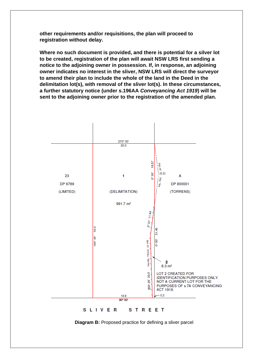**other requirements and/or requisitions, the plan will proceed to registration without delay.** 

**Where no such document is provided, and there is potential for a silver lot to be created, registration of the plan will await NSW LRS first sending a notice to the adjoining owner in possession. If, in response, an adjoining owner indicates no interest in the sliver, NSW LRS will direct the surveyor to amend their plan to include the whole of the land in the Deed in the delimitation lot(s), with removal of the sliver lot(s). In these circumstances, a further statutory notice (under s.196AA** *Conveyancing Act 1919***) will be sent to the adjoining owner prior to the registration of the amended plan.**



**Diagram B:** Proposed practice for defining a sliver parcel